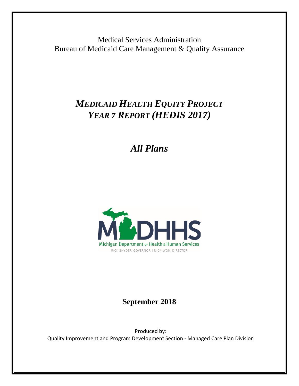Medical Services Administration Bureau of Medicaid Care Management & Quality Assurance

# *MEDICAID HEALTH EQUITY PROJECT YEAR 7 REPORT (HEDIS 2017)*

*All Plans*



## **September 2018**

Produced by: Quality Improvement and Program Development Section - Managed Care Plan Division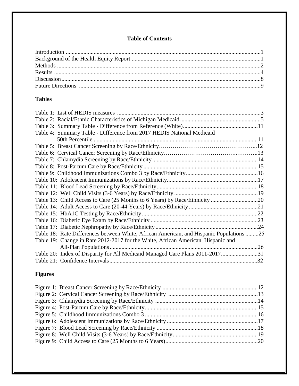## **Table of Contents**

## **Tables**

| Table 4: Summary Table - Difference from 2017 HEDIS National Medicaid                   |  |
|-----------------------------------------------------------------------------------------|--|
| 50th Percentile                                                                         |  |
|                                                                                         |  |
|                                                                                         |  |
|                                                                                         |  |
|                                                                                         |  |
|                                                                                         |  |
|                                                                                         |  |
|                                                                                         |  |
|                                                                                         |  |
|                                                                                         |  |
|                                                                                         |  |
|                                                                                         |  |
|                                                                                         |  |
|                                                                                         |  |
| Table 18: Rate Differences between White, African American, and Hispanic Populations 25 |  |
| Table 19: Change in Rate 2012-2017 for the White, African American, Hispanic and        |  |
|                                                                                         |  |
| Table 20: Index of Disparity for All Medicaid Managed Care Plans 2011-201731            |  |
|                                                                                         |  |

## **Figures**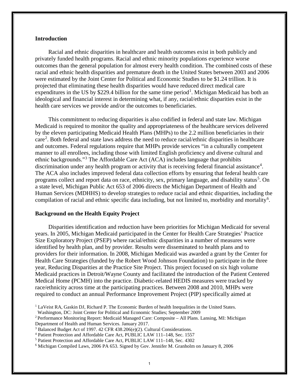## **Introduction**

Racial and ethnic disparities in healthcare and health outcomes exist in both publicly and privately funded health programs. Racial and ethnic minority populations experience worse outcomes than the general population for almost every health condition. The combined costs of these racial and ethnic health disparities and premature death in the United States between 2003 and 2006 were estimated by the Joint Center for Political and Economic Studies to be \$1.24 trillion. It is projected that eliminating these health disparities would have reduced direct medical care expenditures in the US by \$229.4 billion for the same time period<sup>[1](#page-3-0)</sup>. Michigan Medicaid has both an ideological and financial interest in determining what, if any, racial/ethnic disparities exist in the health care services we provide and/or the outcomes to beneficiaries.

This commitment to reducing disparities is also codified in federal and state law. Michigan Medicaid is required to monitor the quality and appropriateness of the healthcare services delivered by the eleven participating Medicaid Health Plans (MHPs) to the 2.2 million beneficiaries in their care<sup>[2](#page-3-1)</sup>. Both federal and state laws address the need to reduce racial/ethnic disparities in healthcare and outcomes. Federal regulations require that MHPs provide services "in a culturally competent manner to all enrollees, including those with limited English proficiency and diverse cultural and ethnic backgrounds."[3](#page-3-2) The Affordable Care Act (ACA) includes language that prohibits discrimination under any health program or activity that is receiving federal financial assistance<sup>[4](#page-3-3)</sup>. The ACA also includes improved federal data collection efforts by ensuring that federal health care programs collect and report data on race, ethnicity, sex, primary language, and disability status<sup>[5](#page-3-4)</sup>. On a state level, Michigan Public Act 653 of 2006 directs the Michigan Department of Health and Human Services (MDHHS) to develop strategies to reduce racial and ethnic disparities, including the compilation of racial and ethnic specific data including, but not limited to, morbidity and mortality<sup>[6](#page-3-5)</sup>.

## **Background on the Health Equity Project**

Disparities identification and reduction have been priorities for Michigan Medicaid for several years. In 2005, Michigan Medicaid participated in the Center for Health Care Strategies' Practice Size Exploratory Project (PSEP) where racial/ethnic disparities in a number of measures were identified by health plan, and by provider. Results were disseminated to health plans and to providers for their information. In 2008, Michigan Medicaid was awarded a grant by the Center for Health Care Strategies (funded by the Robert Wood Johnson Foundation) to participate in the three year, Reducing Disparities at the Practice Site Project. This project focused on six high volume Medicaid practices in Detroit/Wayne County and facilitated the introduction of the Patient Centered Medical Home (PCMH) into the practice. Diabetic-related HEDIS measures were tracked by race/ethnicity across time at the participating practices. Between 2008 and 2010, MHPs were required to conduct an annual Performance Improvement Project (PIP) specifically aimed at

<span id="page-3-0"></span><sup>&</sup>lt;sup>1</sup> LaVeist RA, Gaskin DJ, Richard P. The Economic Burden of health Inequalities in the United States.

Washington, DC: Joint Center for Political and Economic Studies; September 2009

<span id="page-3-1"></span><sup>2</sup> Performance Monitoring Report: Medicaid Managed Care: Composite – All Plans. Lansing, MI: Michigan Department of Health and Human Services. January 2017.

<span id="page-3-2"></span><sup>&</sup>lt;sup>3</sup> Balanced Budget Act of 1997. 42 CFR 438.206(e)(2). Cultural Considerations.<br><sup>4</sup> Patient Protection and Affordable Care Act, PUBLIC LAW 111-148, Sec. 1557

<span id="page-3-3"></span>

<span id="page-3-5"></span><span id="page-3-4"></span>

<sup>&</sup>lt;sup>5</sup> Patient Protection and Affordable Care Act, PUBLIC LAW 111–148, Sec. 4302<br><sup>6</sup> Michigan Compiled Laws, 2006 PA 653. Signed by Gov. Jennifer M. Granholm on January 8, 2006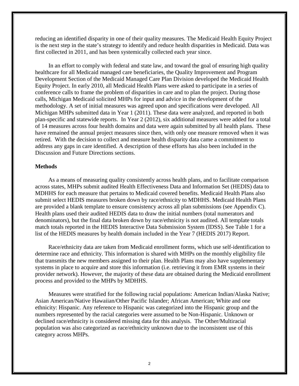reducing an identified disparity in one of their quality measures. The Medicaid Health Equity Project is the next step in the state's strategy to identify and reduce health disparities in Medicaid. Data was first collected in 2011, and has been systemically collected each year since.

In an effort to comply with federal and state law, and toward the goal of ensuring high quality healthcare for all Medicaid managed care beneficiaries, the Quality Improvement and Program Development Section of the Medicaid Managed Care Plan Division developed the Medicaid Health Equity Project. In early 2010, all Medicaid Health Plans were asked to participate in a series of conference calls to frame the problem of disparities in care and to plan the project. During those calls, Michigan Medicaid solicited MHPs for input and advice in the development of the methodology. A set of initial measures was agreed upon and specifications were developed. All Michigan MHPs submitted data in Year 1 (2011). These data were analyzed, and reported in both plan-specific and statewide reports. In Year 2 (2012), six additional measures were added for a total of 14 measures across four health domains and data were again submitted by all health plans. These have remained the annual project measures since then, with only one measure removed when it was retired. With the decision to collect and measure health disparity data came a commitment to address any gaps in care identified. A description of these efforts has also been included in the Discussion and Future Directions sections.

## **Methods**

As a means of measuring quality consistently across health plans, and to facilitate comparison across states, MHPs submit audited Health Effectiveness Data and Information Set (HEDIS) data to MDHHS for each measure that pertains to Medicaid covered benefits. Medicaid Health Plans also submit select HEDIS measures broken down by race/ethnicity to MDHHS. Medicaid Health Plans are provided a blank template to ensure consistency across all plan submissions (see Appendix C). Health plans used their audited HEDIS data to draw the initial numbers (total numerators and denominators), but the final data broken down by race/ethnicity is not audited. All template totals match totals reported in the HEDIS Interactive Data Submission System (IDSS). See Table 1 for a list of the HEDIS measures by health domain included in the Year 7 (HEDIS 2017) Report.

Race/ethnicity data are taken from Medicaid enrollment forms, which use self-identification to determine race and ethnicity. This information is shared with MHPs on the monthly eligibility file that transmits the new members assigned to their plan. Health Plans may also have supplementary systems in place to acquire and store this information (i.e. retrieving it from EMR systems in their provider network). However, the majority of these data are obtained during the Medicaid enrollment process and provided to the MHPs by MDHHS.

Measures were stratified for the following racial populations: American Indian/Alaska Native; Asian American/Native Hawaiian/Other Pacific Islander; African American; White and one ethnicity: Hispanic. Any reference to Hispanic was categorized into the Hispanic group and the numbers represented by the racial categories were assumed to be Non-Hispanic. Unknown or declined race/ethnicity is considered missing data for this analysis. The Other/Multiracial population was also categorized as race/ethnicity unknown due to the inconsistent use of this category across MHPs.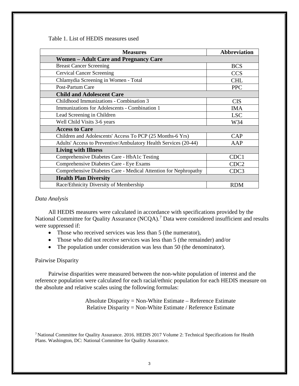Table 1. List of HEDIS measures used

| <b>Measures</b>                                                 | <b>Abbreviation</b> |
|-----------------------------------------------------------------|---------------------|
| <b>Women – Adult Care and Pregnancy Care</b>                    |                     |
| <b>Breast Cancer Screening</b>                                  | <b>BCS</b>          |
| <b>Cervical Cancer Screening</b>                                | <b>CCS</b>          |
| Chlamydia Screening in Women - Total                            | <b>CHL</b>          |
| Post-Partum Care                                                | <b>PPC</b>          |
| <b>Child and Adolescent Care</b>                                |                     |
| Childhood Immunizations - Combination 3                         | <b>CIS</b>          |
| Immunizations for Adolescents - Combination 1                   | IMA                 |
| Lead Screening in Children                                      | <b>LSC</b>          |
| Well Child Visits 3-6 years                                     | W34                 |
| <b>Access to Care</b>                                           |                     |
| Children and Adolescents' Access To PCP (25 Months-6 Yrs)       | CAP                 |
| Adults' Access to Preventive/Ambulatory Health Services (20-44) | AAP                 |
| <b>Living with Illness</b>                                      |                     |
| Comprehensive Diabetes Care - HbA1c Testing                     | CDC1                |
| Comprehensive Diabetes Care - Eye Exams                         | CDC <sub>2</sub>    |
| Comprehensive Diabetes Care - Medical Attention for Nephropathy | CDC3                |
| <b>Health Plan Diversity</b>                                    |                     |
| Race/Ethnicity Diversity of Membership                          | <b>RDM</b>          |

### *Data Analysis*

All HEDIS measures were calculated in accordance with specifications provided by the National Committee for Quality Assurance (NCQA).<sup>[7](#page-5-0)</sup> Data were considered insufficient and results were suppressed if:

- Those who received services was less than 5 (the numerator),
- Those who did not receive services was less than 5 (the remainder) and/or
- The population under consideration was less than 50 (the denominator).

### Pairwise Disparity

Pairwise disparities were measured between the non-white population of interest and the reference population were calculated for each racial/ethnic population for each HEDIS measure on the absolute and relative scales using the following formulas:

> Absolute Disparity = Non-White Estimate – Reference Estimate Relative Disparity = Non-White Estimate / Reference Estimate

<span id="page-5-0"></span>7 National Committee for Quality Assurance. 2016. HEDIS 2017 Volume 2: Technical Specifications for Health Plans. Washington, DC: National Committee for Quality Assurance.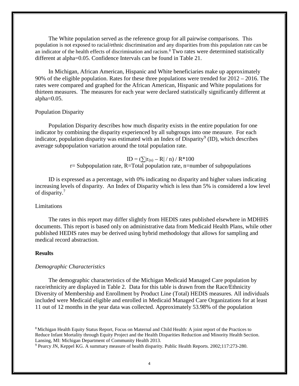The White population served as the reference group for all pairwise comparisons. This population is not exposed to racial/ethnic discrimination and any disparities from this population rate can be an indicator of the health effects of discrimination and racism.[8](#page-6-0) Two rates were determined statistically different at alpha=0.05. Confidence Intervals can be found in Table 21.

In Michigan, African American, Hispanic and White beneficiaries make up approximately 90% of the eligible population. Rates for these three populations were trended for 2012 – 2016. The rates were compared and graphed for the African American, Hispanic and White populations for thirteen measures. The measures for each year were declared statistically significantly different at alpha $=0.05$ .

## Population Disparity

Population Disparity describes how much disparity exists in the entire population for one indicator by combining the disparity experienced by all subgroups into one measure. For each indicator, population disparity was estimated with an Index of Disparity<sup>[9](#page-6-1)</sup> (ID), which describes average subpopulation variation around the total population rate.

$$
ID = (\sum |r_{(n)} - R| / n) / R * 100
$$
  
*r*= Subpopulation rate, R=Total population rate, n=number of subpopulations

ID is expressed as a percentage, with 0% indicating no disparity and higher values indicating increasing levels of disparity. An Index of Disparity which is less than 5% is considered a low level of disparity.<sup>7</sup>

## Limitations

The rates in this report may differ slightly from HEDIS rates published elsewhere in MDHHS documents. This report is based only on administrative data from Medicaid Health Plans, while other published HEDIS rates may be derived using hybrid methodology that allows for sampling and medical record abstraction.

### **Results**

## *Demographic Characteristics*

The demographic characteristics of the Michigan Medicaid Managed Care population by race/ethnicity are displayed in Table 2. Data for this table is drawn from the Race/Ethnicity Diversity of Membership and Enrollment by Product Line (Total) HEDIS measures. All individuals included were Medicaid eligible and enrolled in Medicaid Managed Care Organizations for at least 11 out of 12 months in the year data was collected. Approximately 53.98% of the population

<span id="page-6-0"></span>8 Michigan Health Equity Status Report, Focus on Maternal and Child Health: A joint report of the Practices to Reduce Infant Mortality through Equity Project and the Health Disparities Reduction and Minority Health Section. Lansing, MI: Michigan Department of Community Health 2013.

<span id="page-6-1"></span><sup>9</sup> Pearcy JN, Keppel KG. A summary measure of health disparity. Public Health Reports. 2002;117:273-280.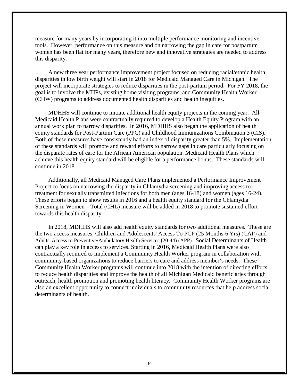measure for many years by incorporating it into multiple performance monitoring and incentive tools. However, performance on this measure and on narrowing the gap in care for postpartum women has been flat for many years, therefore new and innovative strategies are needed to address this disparity.

A new three year performance improvement project focused on reducing racial/ethnic health disparities in low birth weight will start in 2018 for Medicaid Managed Care in Michigan. The project will incorporate strategies to reduce disparities in the post-partum period. For FY 2018, the goal is to involve the MHPs, existing home visiting programs, and Community Health Worker (CHW) programs to address documented health disparities and health inequities.

MDHHS will continue to initiate additional health equity projects in the coming year. All Medicaid Health Plans were contractually required to develop a Health Equity Program with an annual work plan to narrow disparities. In 2016, MDHHS also began the application of health equity standards for Post-Partum Care (PPC) and Childhood Immunizations Combination 3 (CIS). Both of these measures have consistently had an index of disparity greater than 5%. Implementation of these standards will promote and reward efforts to narrow gaps in care particularly focusing on the disparate rates of care for the African American population. Medicaid Health Plans which achieve this health equity standard will be eligible for a performance bonus. These standards will continue in 2018.

Additionally, all Medicaid Managed Care Plans implemented a Performance Improvement Project to focus on narrowing the disparity in Chlamydia screening and improving access to treatment for sexually transmitted infections for both men (ages 16-18) and women (ages 16-24). These efforts began to show results in 2016 and a health equity standard for the Chlamydia Screening in Women – Total (CHL) measure will be added in 2018 to promote sustained effort towards this health disparity.

In 2018, MDHHS will also add health equity standards for two additional measures. These are the two access measures, Children and Adolescents' Access To PCP (25 Months-6 Yrs) (CAP) and Adults' Access to Preventive/Ambulatory Health Services (20-44) (APP). Social Determinants of Health can play a key role in access to services. Starting in 2016, Medicaid Health Plans were also contractually required to implement a Community Health Worker program in collaboration with community-based organizations to reduce barriers to care and address member's needs. These Community Health Worker programs will continue into 2018 with the intention of directing efforts to reduce health disparities and improve the health of all Michigan Medicaid beneficiaries through outreach, health promotion and promoting health literacy. Community Health Worker programs are also an excellent opportunity to connect individuals to community resources that help address social determinants of health.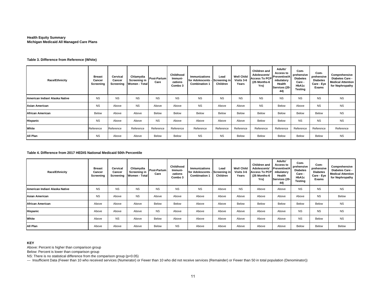#### **Health Equity SummaryMichigan Medicaid All Managed Care Plans**

#### **Table 3. Difference from Reference (White)**

| <b>Race/Ethnicity</b>          | <b>Breast</b><br>Cancer<br>Screening | Cervical<br>Cancer<br>Screening | Chlamydia<br>Screening in<br><b>Women - Total</b> | Post-Partum<br>Care | Childhood<br>Immuni-<br>zations<br>Combo 3 | Immunizations<br>for Adolescents -<br><b>Combination 1</b> | Lead<br>- Screening in<br>Children | <b>Well Child</b><br>Visits 3-6<br>Years | Children and<br>Adolescents'<br>Access To PCP Preventive/A<br>(25 Months-6<br>Yrs) | Adults'<br>Access to<br>mbulatory<br>Health<br>Services (20-<br>44) | Com-<br>prehensive<br><b>Diabetes</b><br>Care -<br>HbA1c<br><b>Testing</b> | Com-<br>prehensive<br><b>Diabetes</b><br>Care - Eye<br>Exams | Comprehensive<br>Diabetes Care -<br><b>Medical Attention</b><br>for Nephropathy |
|--------------------------------|--------------------------------------|---------------------------------|---------------------------------------------------|---------------------|--------------------------------------------|------------------------------------------------------------|------------------------------------|------------------------------------------|------------------------------------------------------------------------------------|---------------------------------------------------------------------|----------------------------------------------------------------------------|--------------------------------------------------------------|---------------------------------------------------------------------------------|
| American Indian/ Alaska Native | <b>NS</b>                            | <b>NS</b>                       | <b>NS</b>                                         | <b>NS</b>           | <b>NS</b>                                  | <b>NS</b>                                                  | <b>NS</b>                          | <b>NS</b>                                | <b>NS</b>                                                                          | <b>NS</b>                                                           | <b>NS</b>                                                                  | <b>NS</b>                                                    | <b>NS</b>                                                                       |
| Asian American                 | <b>NS</b>                            | Above                           | <b>NS</b>                                         | Above               | Above                                      | <b>NS</b>                                                  | Above                              | Above                                    | <b>NS</b>                                                                          | Below                                                               | Above                                                                      | <b>NS</b>                                                    | <b>NS</b>                                                                       |
| <b>African American</b>        | Below                                | Above                           | Above                                             | Below               | Below                                      | Below                                                      | Below                              | Below                                    | Below                                                                              | Below                                                               | Below                                                                      | Below                                                        | <b>NS</b>                                                                       |
| Hispanic                       | <b>NS</b>                            | Above                           | Above                                             | <b>NS</b>           | Above                                      | Above                                                      | Above                              | Above                                    | Below                                                                              | Below                                                               | <b>NS</b>                                                                  | <b>NS</b>                                                    | <b>NS</b>                                                                       |
| White                          | Reference                            | Reference                       | Reference                                         | Reference           | Reference                                  | Reference                                                  | Reference                          | Reference                                | Reference                                                                          | Reference                                                           | Reference                                                                  | Reference                                                    | Reference                                                                       |
| All Plan                       | <b>NS</b>                            | Above                           | Above                                             | Below               | Below                                      | <b>NS</b>                                                  | <b>NS</b>                          | Below                                    | Below                                                                              | Below                                                               | Below                                                                      | Below                                                        | <b>NS</b>                                                                       |

#### **Table 4. Difference from 2017 HEDIS National Medicaid 50th Percentile**

| <b>Race/Ethnicity</b>          | <b>Breast</b><br>Cancer<br>Screening | Cervical<br>Cancer<br>Screening | Chlamydia<br>Screening in<br>Women - Total | Post-Partum<br>Care | Childhood<br>Immuni-<br>zations<br>Combo 3 | <b>Immunizations</b><br>for Adolescents -<br><b>Combination 1</b> | Lead<br>Screening in<br><b>Children</b> | <b>Well Child</b><br>Visits 3-6<br>Years | Children and<br>Adolescents'<br><b>Access To PCP</b><br>(25 Months-6<br>Yrs) | Adults'<br>Access to<br><b>Preventive/A</b><br>mbulatory<br>Health<br>Services (20-<br>44) | Com-<br>prehensive<br><b>Diabetes</b><br>Care -<br>HbA1c<br><b>Testing</b> | Com-<br>prehensive<br><b>Diabetes</b><br>Care - Eye<br>Exams | Comprehensive<br>Diabetes Care -<br><b>Medical Attention</b><br>for Nephropathy |
|--------------------------------|--------------------------------------|---------------------------------|--------------------------------------------|---------------------|--------------------------------------------|-------------------------------------------------------------------|-----------------------------------------|------------------------------------------|------------------------------------------------------------------------------|--------------------------------------------------------------------------------------------|----------------------------------------------------------------------------|--------------------------------------------------------------|---------------------------------------------------------------------------------|
| American Indian/ Alaska Native | <b>NS</b>                            | <b>NS</b>                       | <b>NS</b>                                  | <b>NS</b>           | <b>NS</b>                                  | <b>NS</b>                                                         | Above                                   | <b>NS</b>                                | Above                                                                        | Above                                                                                      | <b>NS</b>                                                                  | <b>NS</b>                                                    | <b>NS</b>                                                                       |
| Asian American                 | <b>NS</b>                            | Above                           | <b>NS</b>                                  | Above               | Above                                      | Above                                                             | Above                                   | Above                                    | Above                                                                        | Above                                                                                      | Above                                                                      | <b>NS</b>                                                    | Below                                                                           |
| <b>African American</b>        | Above                                | Above                           | Above                                      | Below               | Below                                      | Above                                                             | Above                                   | <b>Below</b>                             | Below                                                                        | Below                                                                                      | Below                                                                      | Below                                                        | <b>NS</b>                                                                       |
| <b>Hispanic</b>                | Above                                | Above                           | Above                                      | <b>NS</b>           | Above                                      | Above                                                             | Above                                   | Above                                    | Above                                                                        | Above                                                                                      | <b>NS</b>                                                                  | <b>NS</b>                                                    | <b>NS</b>                                                                       |
| White                          | Above                                | <b>NS</b>                       | Above                                      | Below               | Above                                      | Above                                                             | Above                                   | Above                                    | Above                                                                        | Above                                                                                      | <b>NS</b>                                                                  | Below                                                        | <b>NS</b>                                                                       |
| All Plan                       | Above                                | Above                           | Above                                      | Below               | <b>NS</b>                                  | Above                                                             | Above                                   | Above                                    | Above                                                                        | Above                                                                                      | Below                                                                      | <b>Below</b>                                                 | Below                                                                           |

#### **KEY**

Above: Percent is higher than comparison group

Below: Percent is lower than comparison group

NS: There is no statistical difference from the comparison group (p<0.05)

--- Insufficient Data (Fewer than 10 who received services (Numerator) or Fewer than 10 who did not receive services (Remainder) or Fewer than 50 in total population (Denominator))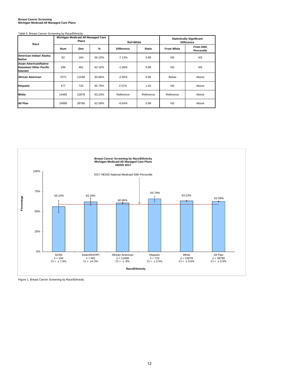## **Breast Cancer Screening Michigan Medicaid All Managed Care Plans**

| Race                                                                              | Table 5. Breast Cancer Screening by Race/Ethnicity | Michigan Medicaid All Managed Care<br><b>Plans</b> |        | <b>Ref=White</b>  |           | <b>Statistically Significant</b><br><b>Difference</b> |                         |  |
|-----------------------------------------------------------------------------------|----------------------------------------------------|----------------------------------------------------|--------|-------------------|-----------|-------------------------------------------------------|-------------------------|--|
|                                                                                   | <b>Num</b>                                         | Den                                                | %      | <b>Difference</b> | Ratio     | <b>From White</b>                                     | From 50th<br>Percentile |  |
| American Indian/ Alaska<br><b>Native</b>                                          | 92                                                 | 164                                                | 56.10% | $-7.13%$          | 0.89      | <b>NS</b>                                             | <b>NS</b>               |  |
| <b>Asian American/Native</b><br><b>Hawaiian/ Other Pacific</b><br><b>Islander</b> | 299                                                | 481                                                | 62.16% | $-1.06%$          | 0.98      | <b>NS</b>                                             | <b>NS</b>               |  |
| <b>African American</b>                                                           | 7072                                               | 11658                                              | 60.66% | $-2.56%$          | 0.96      | Below                                                 | Above                   |  |
| <b>Hispanic</b>                                                                   | 477                                                | 725                                                | 65.79% | 2.57%             | 1.04      | <b>NS</b>                                             | Above                   |  |
| White                                                                             | 14465                                              | 22878                                              | 63.23% | Reference         | Reference | Reference                                             | Above                   |  |
| All Plan                                                                          | 24886                                              | 39760                                              | 62.59% | $-0.64%$          | 0.99      | <b>NS</b>                                             | Above                   |  |



Figure 1. Breast Cancer Screening by Race/Ethnicity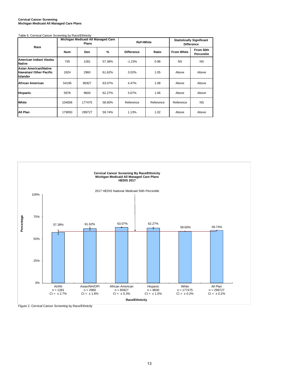#### **Cervical Cancer Screening Michigan Medicaid All Managed Care Plans**

#### Table 6. Cervical Cancer Screening by Race/Ethnicity

| Race                                                                       |            | Michigan Medicaid All Managed Care<br><b>Plans</b> |               | Ref=White         |           | <b>Statistically Significant</b><br><b>Difference</b> |                         |
|----------------------------------------------------------------------------|------------|----------------------------------------------------|---------------|-------------------|-----------|-------------------------------------------------------|-------------------------|
|                                                                            | <b>Num</b> | <b>Den</b>                                         | $\frac{9}{6}$ | <b>Difference</b> | Ratio     | <b>From White</b>                                     | From 50th<br>Percentile |
| American Indian/ Alaska<br><b>Native</b>                                   | 735        | 1281                                               | 57.38%        | $-1.23%$          | 0.98      | <b>NS</b>                                             | <b>NS</b>               |
| <b>Asian American/Native</b><br><b>Hawaiian/ Other Pacific</b><br>Islander | 1824       | 2960                                               | 61.62%        | 3.02%             | 1.05      | Above                                                 | Above                   |
| African American                                                           | 54195      | 85927                                              | 63.07%        | 4.47%             | 1.08      | Above                                                 | Above                   |
| <b>Hispanic</b>                                                            | 5978       | 9600                                               | 62.27%        | 3.67%             | 1.06      | Above                                                 | Above                   |
| White                                                                      | 104006     | 177475                                             | 58.60%        | Reference         | Reference | Reference                                             | <b>NS</b>               |
| All Plan                                                                   | 179050     | 299727                                             | 59.74%        | 1.13%             | 1.02      | Above                                                 | Above                   |



Figure 2. Cervical Cancer Screening by Race/Ethnicity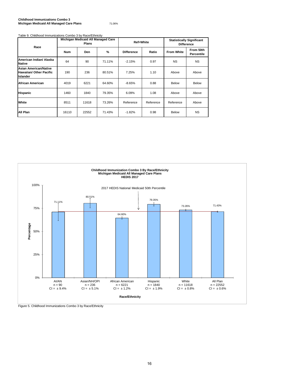#### **Childhood Immunizations Combo 3 Michigan Medicaid All Managed Care Plans** 71.06%

#### Table 9. Childhood Immunizations Combo 3 by Race/Ethnicity

| Race                                                                       |       | Michigan Medicaid All Managed Care<br><b>Plans</b> |        | Ref=White         |           | <b>Statistically Significant</b><br><b>Difference</b> |                         |  |
|----------------------------------------------------------------------------|-------|----------------------------------------------------|--------|-------------------|-----------|-------------------------------------------------------|-------------------------|--|
|                                                                            | Num   | Den                                                | %      | <b>Difference</b> | Ratio     | <b>From White</b>                                     | From 50th<br>Percentile |  |
| American Indian/ Alaska<br><b>Native</b>                                   | 64    | 90                                                 | 71.11% | $-2.15%$          | 0.97      | <b>NS</b>                                             | <b>NS</b>               |  |
| <b>Asian American/Native</b><br>Hawaiian/ Other Pacific<br><b>Islander</b> | 190   | 236                                                | 80.51% | 7.25%             | 1.10      | Above                                                 | Above                   |  |
| African American                                                           | 4019  | 6221                                               | 64.60% | $-8.65%$          | 0.88      | <b>Below</b>                                          | <b>Below</b>            |  |
| <b>Hispanic</b>                                                            | 1460  | 1840                                               | 79.35% | 6.09%             | 1.08      | Above                                                 | Above                   |  |
| White                                                                      | 8511  | 11618                                              | 73.26% | Reference         | Reference | Reference                                             | Above                   |  |
| All Plan                                                                   | 16110 | 22552                                              | 71.43% | $-1.82%$          | 0.98      | <b>Below</b>                                          | <b>NS</b>               |  |



Figure 5. Childhood Immunizations Combo 3 by Race/Ethnicity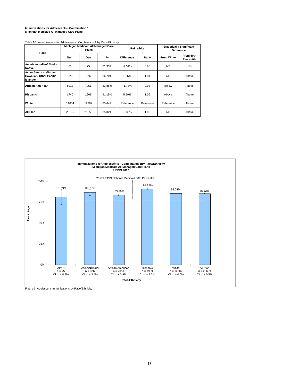## **Immunizations for Adolescents - Combination 1 Michigan Medicaid All Managed Care Plans**

| Race                                                                              |            | Michigan Medicaid All Managed Care<br><b>Plans</b> |        |                   | <b>Ref=White</b> | <b>Statistically Significant</b><br><b>Difference</b> |                         |  |
|-----------------------------------------------------------------------------------|------------|----------------------------------------------------|--------|-------------------|------------------|-------------------------------------------------------|-------------------------|--|
|                                                                                   | <b>Num</b> | Den                                                | %      | <b>Difference</b> | Ratio            | <b>From White</b>                                     | From 50th<br>Percentile |  |
| American Indian/ Alaska<br>Native                                                 | 61         | 75                                                 | 81.33% | $-4.31%$          | 0.95             | <b>NS</b>                                             | <b>NS</b>               |  |
| <b>Asian American/Native</b><br><b>Hawaiian/ Other Pacific</b><br><b>Islander</b> | 326        | 376                                                | 86.70% | 1.06%             | 1.01             | <b>NS</b>                                             | Above                   |  |
| <b>African American</b>                                                           | 5913       | 7051                                               | 83.86% | $-1.78%$          | 0.98             | Below                                                 | Above                   |  |
| <b>Hispanic</b>                                                                   | 1740       | 1909                                               | 91.15% | 5.50%             | 1.06             | Above                                                 | Above                   |  |
| White                                                                             | 11054      | 12907                                              | 85.64% | Reference         | Reference        | Reference                                             | Above                   |  |
| All Plan                                                                          | 20186      | 23659                                              | 85.32% | $-0.32%$          | 1.00             | <b>NS</b>                                             | Above                   |  |

Table 10. Immunizations for Adolescents - Combination 1 by Race/Ethnicity



Figure 6. Adolescent Immunizations by Race/Ethnicity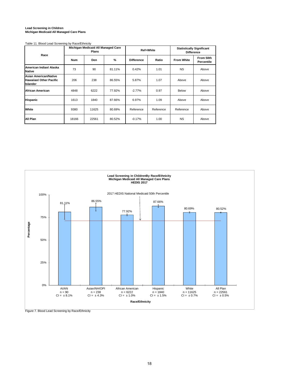#### **Lead Screening in Children Michigan Medicaid All Managed Care Plans**

#### Table 11. Blood Lead Screening by Race/Ethnicity

| Race                                                                              |            | Michigan Medicaid All Managed Care<br>Plans |        |                   | Ref=White | <b>Statistically Significant</b><br><b>Difference</b> |                         |  |
|-----------------------------------------------------------------------------------|------------|---------------------------------------------|--------|-------------------|-----------|-------------------------------------------------------|-------------------------|--|
|                                                                                   | <b>Num</b> | Den                                         | %      | <b>Difference</b> | Ratio     | <b>From White</b>                                     | From 50th<br>Percentile |  |
| American Indian/ Alaska<br><b>Native</b>                                          | 73         | 90                                          | 81.11% | 0.42%             | 1.01      | <b>NS</b>                                             | Above                   |  |
| <b>Asian American/Native</b><br><b>Hawaiian/ Other Pacific</b><br><b>Islander</b> | 206        | 238                                         | 86.55% | 5.87%             | 1.07      | Above                                                 | Above                   |  |
| <b>African American</b>                                                           | 4848       | 6222                                        | 77.92% | $-2.77%$          | 0.97      | <b>Below</b>                                          | Above                   |  |
| <b>Hispanic</b>                                                                   | 1613       | 1840                                        | 87.66% | 6.97%             | 1.09      | Above                                                 | Above                   |  |
| White                                                                             | 9380       | 11625                                       | 80.69% | Reference         | Reference | Reference                                             | Above                   |  |
| All Plan                                                                          | 18166      | 22561                                       | 80.52% | $-0.17%$          | 1.00      | <b>NS</b>                                             | Above                   |  |



Figure 7. Blood Lead Screening by Race/Ethnicity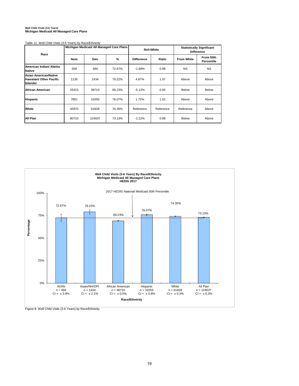## **Well Child Visits (3-6 Years) Michigan Medicaid All Managed Care Plans**

Table 12. Well Child Visits (3-6 Years) by Race/Ethnicity

| Race                                                                              |            |        | Michigan Medicaid All Managed Care Plans |                   | Ref=White | <b>Statistically Significant</b><br><b>Difference</b> |                         |  |
|-----------------------------------------------------------------------------------|------------|--------|------------------------------------------|-------------------|-----------|-------------------------------------------------------|-------------------------|--|
|                                                                                   | <b>Num</b> | Den    | %                                        | <b>Difference</b> | Ratio     | <b>From White</b>                                     | From 50th<br>Percentile |  |
| American Indian/ Alaska<br><b>Native</b>                                          | 359        | 494    | 72.67%                                   | $-1.68%$          | 0.98      | <b>NS</b>                                             | <b>NS</b>               |  |
| <b>Asian American/Native</b><br><b>Hawaiian/ Other Pacific</b><br><b>Islander</b> | 1136       | 1434   | 79.22%                                   | 4.87%             | 1.07      | Above                                                 | Above                   |  |
| African American                                                                  | 25415      | 36710  | 69.23%                                   | $-5.12%$          | 0.93      | <b>Below</b>                                          | <b>Below</b>            |  |
| <b>Hispanic</b>                                                                   | 7801       | 10255  | 76.07%                                   | 1.72%             | 1.02      | Above                                                 | Above                   |  |
| White                                                                             | 45970      | 61828  | 74.35%                                   | Reference         | Reference | Reference                                             | Above                   |  |
| All Plan                                                                          | 90710      | 124037 | 73.13%                                   | $-1.22%$          | 0.98      | <b>Below</b>                                          | Above                   |  |



Figure 8. Well Child Visits (3-6 Years) by Race/Ethnicity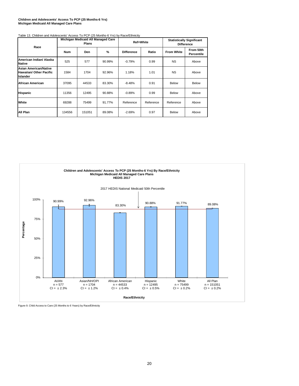#### **Children and Adolescents' Access To PCP (25 Months-6 Yrs) Michigan Medicaid All Managed Care Plans**

#### Table 13. Children and Adolescents' Access To PCP (25 Months-6 Yrs) by Race/Ethnicity

| Race                                                                       |            | Michigan Medicaid All Managed Care<br><b>Plans</b> |        |                   | Ref=White | <b>Statistically Significant</b><br><b>Difference</b> |                         |  |  |  |
|----------------------------------------------------------------------------|------------|----------------------------------------------------|--------|-------------------|-----------|-------------------------------------------------------|-------------------------|--|--|--|
|                                                                            | <b>Num</b> | Den                                                | %      | <b>Difference</b> | Ratio     | <b>From White</b>                                     | From 50th<br>Percentile |  |  |  |
| American Indian/ Alaska<br><b>Native</b>                                   | 525        | 577                                                | 90.99% | $-0.79%$          | 0.99      | <b>NS</b>                                             | Above                   |  |  |  |
| <b>Asian American/Native</b><br>Hawaiian/ Other Pacific<br><b>Islander</b> | 1584       | 1.18%<br>1.01<br>1704<br>92.96%                    |        |                   |           | <b>NS</b>                                             | Above                   |  |  |  |
| African American                                                           | 37095      | 44533                                              | 83.30% | $-8.48%$          | 0.91      | <b>Below</b>                                          | <b>Below</b>            |  |  |  |
| <b>Hispanic</b>                                                            | 11356      | 12495                                              | 90.88% | $-0.89%$          | 0.99      | Below                                                 | Above                   |  |  |  |
| White                                                                      | 69288      | 75499                                              | 91.77% | Reference         | Reference | Reference                                             | Above                   |  |  |  |
| All Plan                                                                   | 134556     | 151051                                             | 89.08% | $-2.69%$          | 0.97      | Below                                                 | Above                   |  |  |  |



Figure 9. Child Access to Care (25 Months to 6 Years) by Race/Ethnicity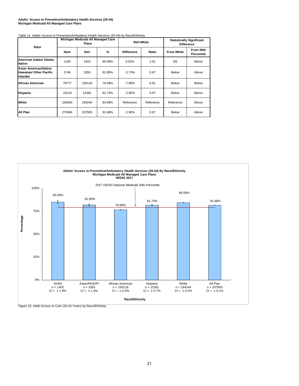#### **Adults' Access to Preventive/Ambulatory Health Services (20-44) Michigan Medicaid All Managed Care Plans**

#### Table 14. Adults' Access to Preventive/Ambulatory Health Services (20-44) by Race/Ethnicity

| Race                                                                       |            | Michigan Medicaid All Managed Care<br><b>Plans</b> |        | Ref=White         |           | <b>Statistically Significant</b><br><b>Difference</b> |                         |  |  |  |  |
|----------------------------------------------------------------------------|------------|----------------------------------------------------|--------|-------------------|-----------|-------------------------------------------------------|-------------------------|--|--|--|--|
|                                                                            | <b>Num</b> | <b>Den</b>                                         | %      | <b>Difference</b> | Ratio     | <b>From White</b>                                     | From 50th<br>Percentile |  |  |  |  |
| American Indian/ Alaska<br><b>Native</b>                                   | 1193       | 1402                                               | 85.09% | 0.52%             | 1.01      | <b>NS</b>                                             | Above                   |  |  |  |  |
| <b>Asian American/Native</b><br><b>Hawaiian/ Other Pacific</b><br>Islander | 2746       | 3355                                               | 81.85% | $-2.73%$          | 0.97      | <b>Below</b>                                          | Above                   |  |  |  |  |
| African American                                                           | 76777      | 100118                                             | 76.69% | -7.89%            | 0.91      | <b>Below</b>                                          | <b>Below</b>            |  |  |  |  |
| <b>Hispanic</b>                                                            | 10119      | 12381                                              | 81.73% | $-2.85%$          | 0.97      | <b>Below</b>                                          | Above                   |  |  |  |  |
| White                                                                      | 164284     | 194244                                             | 84.58% | Reference         | Reference | Reference                                             | Above                   |  |  |  |  |
| All Plan                                                                   | 275994     | 337903                                             | 81.68% | $-2.90\%$         | 0.97      | <b>Below</b>                                          | Above                   |  |  |  |  |



Figure 10. Adult Access to Care (20-44 Years) by Race/Ethnicity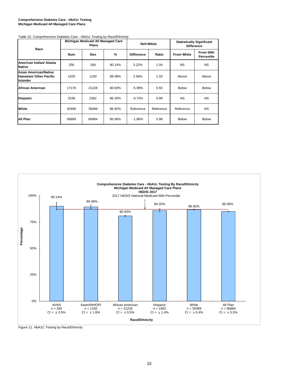#### **Comprehensive Diabetes Care - HbA1c Testing Michigan Medicaid All Managed Care Plans**

| Race                                                                       |       | Michigan Medicaid All Managed Care<br><b>Plans</b> |        |                   | <b>Ref=White</b> | <b>Statistically Significant</b><br><b>Difference</b> |                                |  |  |  |  |
|----------------------------------------------------------------------------|-------|----------------------------------------------------|--------|-------------------|------------------|-------------------------------------------------------|--------------------------------|--|--|--|--|
|                                                                            | Num   | Den                                                | %      | <b>Difference</b> | Ratio            | <b>From White</b>                                     | From 50th<br><b>Percentile</b> |  |  |  |  |
| American Indian/ Alaska<br><b>Native</b>                                   | 256   | 284                                                | 90.14% | 3.22%             | 1.04             | <b>NS</b>                                             | <b>NS</b>                      |  |  |  |  |
| Asian American/Native<br><b>Hawaiian/ Other Pacific</b><br><b>Islander</b> | 1029  | 1150                                               | 89.48% | 2.56%             | 1.03             | Above                                                 | Above                          |  |  |  |  |
| African American                                                           | 17179 | 21228                                              | 80.93% | -5.99%            | 0.93             | Below                                                 | <b>Below</b>                   |  |  |  |  |
| Hispanic                                                                   | 2036  | 2362                                               | 86.20% | $-0.72%$          | 0.99             | <b>NS</b>                                             | <b>NS</b>                      |  |  |  |  |
| White                                                                      | 30498 | 35089                                              | 86.92% | Reference         | Reference        | Reference                                             | <b>NS</b>                      |  |  |  |  |
| All Plan                                                                   | 56889 | 66884                                              | 85.06% | $-1.86%$          | 0.98             | Below                                                 | <b>Below</b>                   |  |  |  |  |

#### Table 15. Comprehensive Diabetes Care - HbA1c Testing by Race/Ethnicity



Figure 11. HbA1C Testing by Race/Ethnicity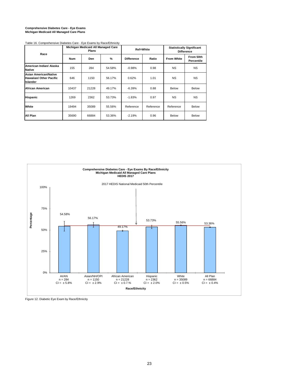## **Comprehensive Diabetes Care - Eye Exams Michigan Medicaid All Managed Care Plans**

| Table 16. Comprehensive Diabetes Care - Eye Exams by Race/Ethnicity               |            |                                                    |        |                   |           |                   |                                                       |  |  |  |  |  |  |  |
|-----------------------------------------------------------------------------------|------------|----------------------------------------------------|--------|-------------------|-----------|-------------------|-------------------------------------------------------|--|--|--|--|--|--|--|
| Race                                                                              |            | Michigan Medicaid All Managed Care<br><b>Plans</b> |        |                   | Ref=White |                   | <b>Statistically Significant</b><br><b>Difference</b> |  |  |  |  |  |  |  |
|                                                                                   | <b>Num</b> | Den                                                | %      | <b>Difference</b> | Ratio     | <b>From White</b> | From 50th<br>Percentile                               |  |  |  |  |  |  |  |
| American Indian/ Alaska<br><b>Native</b>                                          | 155        | 284                                                | 54.58% | $-0.98%$          | 0.98      | <b>NS</b>         | <b>NS</b>                                             |  |  |  |  |  |  |  |
| <b>Asian American/Native</b><br><b>Hawaiian/ Other Pacific</b><br><b>Islander</b> | 646        | 1150                                               | 56.17% | 0.62%             | 1.01      | <b>NS</b>         | <b>NS</b>                                             |  |  |  |  |  |  |  |
| African American                                                                  | 10437      | 21228                                              | 49.17% | $-6.39%$          | 0.88      | Below             | Below                                                 |  |  |  |  |  |  |  |
| <b>Hispanic</b>                                                                   | 1269       | 2362                                               | 53.73% | $-1.83%$          | 0.97      | <b>NS</b>         | <b>NS</b>                                             |  |  |  |  |  |  |  |
| White                                                                             | 19494      | 35089                                              | 55.56% | Reference         | Reference | Reference         | Below                                                 |  |  |  |  |  |  |  |
| All Plan                                                                          | 35690      | 66884                                              | 53.36% | $-2.19%$          | 0.96      | Below             | Below                                                 |  |  |  |  |  |  |  |

**Comprehensive Diabetes Care - Eye Exams By Race/Ethnicity Michigan Medicaid All Managed Care Plans HEDIS 2017** 2017 HEDIS National Medicaid 50th Percentile 100% 75% **Percentage** 54.58% 56.17% 53.73% 55.56% 53.36% 49.17% Ŧ 50% 25% 0% White AI/AN n = 284 CI = ± 5.8% Asian/NH/OPI n = 1150 CI = ± 2.9% African American n = 21228 CI = ± 0.7.% Hispanic n = 2362 CI = ± 2.0% All Plan n = 66884 CI = ± 0.4%  $n = 35089$ <br>CI =  $\pm 0.5%$ **Race/Ethnicity**

Figure 12. Diabetic Eye Exam by Race/Ethnicity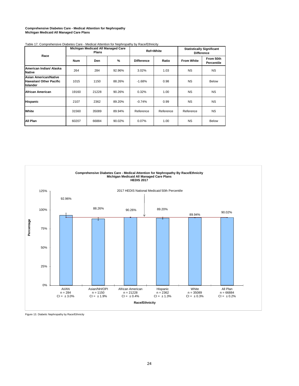#### **Comprehensive Diabetes Care - Medical Attention for Nephropathy Michigan Medicaid All Managed Care Plans**

| Race                                                                       |            | Michigan Medicaid All Managed Care<br><b>Plans</b> |        |                   | <b>Ref=White</b> | <b>Statistically Significant</b><br><b>Difference</b> |                         |  |  |  |  |
|----------------------------------------------------------------------------|------------|----------------------------------------------------|--------|-------------------|------------------|-------------------------------------------------------|-------------------------|--|--|--|--|
|                                                                            | <b>Num</b> | <b>Den</b>                                         | %      | <b>Difference</b> | Ratio            | <b>From White</b>                                     | From 50th<br>Percentile |  |  |  |  |
| American Indian/ Alaska<br>Native                                          | 264        | 284                                                | 92.96% | 3.02%             | 1.03             | <b>NS</b>                                             | <b>NS</b>               |  |  |  |  |
| <b>Asian American/Native</b><br>Hawaiian/ Other Pacific<br><b>Islander</b> | 1015       | 1150                                               | 88.26% | $-1.68%$          | 0.98             | <b>NS</b>                                             | <b>Below</b>            |  |  |  |  |
| African American                                                           | 19160      | 21228                                              | 90.26% | 0.32%             | 1.00             | <b>NS</b>                                             | <b>NS</b>               |  |  |  |  |
| Hispanic                                                                   | 2107       | 2362                                               | 89.20% | $-0.74%$          | 0.99             | <b>NS</b>                                             | <b>NS</b>               |  |  |  |  |
| White                                                                      | 31560      | 35089                                              | 89.94% | Reference         | Reference        | Reference                                             | <b>NS</b>               |  |  |  |  |
| All Plan                                                                   | 60207      | 66884                                              | 90.02% | 0.07%             | 1.00             | <b>NS</b>                                             | <b>Below</b>            |  |  |  |  |





Figure 13. Diabetic Nephropathy by Race/Ethnicity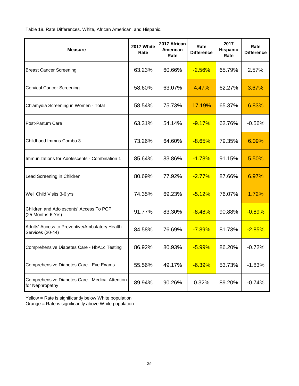Table 18. Rate Differences. White, African American, and Hispanic.

| <b>Measure</b>                                                     | 2017 White<br>Rate | 2017 African<br>American<br>Rate | Rate<br><b>Difference</b> | 2017<br>Hispanic<br>Rate | Rate<br><b>Difference</b> |
|--------------------------------------------------------------------|--------------------|----------------------------------|---------------------------|--------------------------|---------------------------|
| <b>Breast Cancer Screening</b>                                     | 63.23%             | 60.66%                           | $-2.56%$                  | 65.79%                   | 2.57%                     |
| <b>Cervical Cancer Screening</b>                                   | 58.60%             | 63.07%                           | 4.47%                     | 62.27%                   | 3.67%                     |
| Chlamydia Screening in Women - Total                               | 58.54%             | 75.73%                           | <b>17.19%</b>             | 65.37%                   | 6.83%                     |
| Post-Partum Care                                                   | 63.31%             | 54.14%                           | $-9.17%$                  | 62.76%                   | $-0.56%$                  |
| Childhood Immns Combo 3                                            | 73.26%             | 64.60%                           | $-8.65%$                  | 79.35%                   | 6.09%                     |
| Immunizations for Adolescents - Combination 1                      | 85.64%             | 83.86%                           | $-1.78%$                  | 91.15%                   | 5.50%                     |
| Lead Screening in Children                                         | 80.69%             | 77.92%                           | $-2.77%$                  | 87.66%                   | 6.97%                     |
| Well Child Visits 3-6 yrs                                          | 74.35%             | 69.23%                           | $-5.12%$                  | 76.07%                   | 1.72%                     |
| Children and Adolescents' Access To PCP<br>(25 Months-6 Yrs)       | 91.77%             | 83.30%                           | $-8.48%$                  | 90.88%                   | $-0.89%$                  |
| Adults' Access to Preventive/Ambulatory Health<br>Services (20-44) | 84.58%             | 76.69%                           | $-7.89%$                  | 81.73%                   | $-2.85%$                  |
| Comprehensive Diabetes Care - HbA1c Testing                        | 86.92%             | 80.93%                           | $-5.99%$                  | 86.20%                   | $-0.72%$                  |
| Comprehensive Diabetes Care - Eye Exams                            | 55.56%             | 49.17%                           | $-6.39%$                  | 53.73%                   | $-1.83%$                  |
| Comprehensive Diabetes Care - Medical Attention<br>for Nephropathy | 89.94%             | 90.26%                           | 0.32%                     | 89.20%                   | $-0.74%$                  |

Yellow = Rate is significantly below White population

Orange = Rate is significantly above White population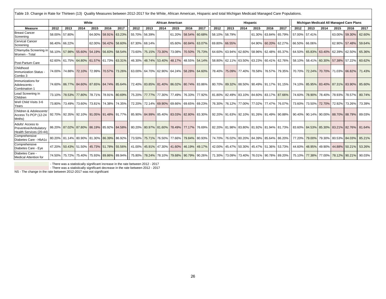| Table 19. Change in Rate for Thirteen (13) Quality Measures between 2012-2017 for the White, African American, Hispanic and total Michigan Medicaid Managed Care Populations. |        |                                           |                      |       |                      |        |                                           |                             |      |                         |                                           |                                           |      |                                                     |      |          |                      |      |                                                                |      |        |                             |                                          |        |
|-------------------------------------------------------------------------------------------------------------------------------------------------------------------------------|--------|-------------------------------------------|----------------------|-------|----------------------|--------|-------------------------------------------|-----------------------------|------|-------------------------|-------------------------------------------|-------------------------------------------|------|-----------------------------------------------------|------|----------|----------------------|------|----------------------------------------------------------------|------|--------|-----------------------------|------------------------------------------|--------|
|                                                                                                                                                                               |        |                                           |                      | White |                      |        |                                           |                             |      | <b>African American</b> |                                           |                                           |      |                                                     |      | Hispanic |                      |      |                                                                |      |        |                             | Michigan Medicaid All Managed Care Plans |        |
| <b>Measure</b>                                                                                                                                                                | 2012   | 2013                                      | 2014                 | 2015  | 2016                 | 2017   | 2012                                      | 2013                        | 2014 | 2015                    | 2016                                      | 2017                                      | 2012 | 2013                                                | 2014 | 2015     | 2016                 | 2017 | 2012                                                           | 2013 | 2014   | 2015                        | 2016                                     | 2017   |
| <b>Breast Cancer</b><br>Screening                                                                                                                                             |        | 58.00% 57.80%                             |                      |       | 64.00% 58.91%        | 63.23% | 55.70% 56.39%                             |                             |      | 61.20%                  | 58.54%                                    | 60.68%                                    |      | 58.10% 58.79%                                       |      | 61.30%   | 63.84% 65.79%        |      | 57.00% 57.41%                                                  |      |        |                             | 63.00% 59.30%                            | 62.60% |
| <b>Cervical Cancer</b><br>Screening                                                                                                                                           |        | 66.40% 66.22%                             |                      |       | 62.00% 56.42% 58.60% |        | 67.30% 68.14%                             |                             |      |                         | 65.60% 60.84% 63.07%                      |                                           |      | 69.80% 66.55%                                       |      |          | 64.90% 60.20% 62.27% |      | 66.50% 66.06%                                                  |      |        |                             | 62.90% 57.48%                            | 59.64% |
| Chlamydia Screening in<br>Women - Total                                                                                                                                       | 56.10% |                                           | 57.98% 55.60% 54.19% |       | 56.83% 58.54%        |        | 73.60%                                    | 75.15% 73.30%               |      |                         | 73.08% 70.50%                             | 75.73%                                    |      | 64.60% 63.94% 62.60%                                |      |          | 58.96% 62.48% 65.37% |      | 64.50% 65.83%                                                  |      | 63.40% |                             | 62.39% 62.50%                            | 65.36% |
| Post-Partum Care                                                                                                                                                              |        | 62.60% 61.75% 64.80% 61.57% 61.73% 63.31% |                      |       |                      |        |                                           | 46.30% 48.74% 53.40%        |      |                         |                                           | 48.17% 48.55% 54.14%                      |      |                                                     |      |          |                      |      | 58.80% 62.11% 63.50% 63.23% 60.41% 62.76% 58.10% 58.41% 60.30% |      |        |                             | 57.38% 57.22%                            | 60.62% |
| Childhood<br>Immunization Status<br>Combo 3                                                                                                                                   |        | 74.00% 74.88% 72.10% 72.99% 70.57% 73.26% |                      |       |                      |        | 63.00% 64.70% 62.90% 64.24% 58.28% 64.60% |                             |      |                         |                                           |                                           |      | 78.40% 75.09% 77.40% 78.58% 76.57% 79.35%           |      |          |                      |      | 1 70.70% 72.24% 70.70% 71.03% 66.82%                           |      |        |                             |                                          | 71.43% |
| Immunizations for<br>Adolescents -<br>Combination 1                                                                                                                           |        | 74.60% 86.77% 84.60% 87.65% 84.74% 85.64% |                      |       |                      |        |                                           |                             |      |                         |                                           | 72.40% 83.85% 81.40% 86.02% 80.74% 83.86% |      | 80.70% 89.32% 88.50% 90.49% 91.17% 91.15%           |      |          |                      |      |                                                                |      |        |                             | 74.10% 85.95% 83.40% 87.31% 83.90%       | 85.60% |
| Lead Screening in<br>Children                                                                                                                                                 |        | 73.10% 78.53% 77.80% 78.71% 78.91% 80.69% |                      |       |                      |        |                                           | 75.20% 77.77% 77.30% 77.49% |      |                         |                                           | 76.33% 77.92%                             |      | 81.80% 82.49% 83.10% 84.60% 83.17% 87.66%           |      |          |                      |      |                                                                |      |        |                             | 74.60% 78.90% 78.40% 78.93% 78.57%       | 80.74% |
| Well Child Visits 3-6<br>Years                                                                                                                                                |        | 73.80% 73.49% 73.60%                      |                      |       | 73.81% 74.38% 74.35% |        |                                           | 72.20% 72.14% 69.90% 69.66% |      |                         | 69.65% 69.23%                             |                                           |      | 76.30% 76.12% 77.00% 77.02% 77.47% 76.07%           |      |          |                      |      | 73.60%                                                         |      |        | 73.50% 72.70% 72.92% 73.26% |                                          | 73.39% |
| Children & Adolescents<br>Access To PCP (12-24<br>Mnths)                                                                                                                      |        | 92.70% 92.35% 92.10% 91.05% 91.48% 91.77% |                      |       |                      |        |                                           |                             |      |                         |                                           | 85.90% 84.99% 85.40% 83.03% 82.80% 83.30% |      | 92.20% 91.63% 92.10% 91.26% 91.49% 90.88%           |      |          |                      |      | 90.40% 90.14% 90.00% 88.70% 88.79%                             |      |        |                             |                                          | 89.03% |
| Adults' Access to<br>Preventive/Ambulatory<br>Health Services (20-44)                                                                                                         |        | 86.20% 87.02% 87.80% 86.19% 85.92% 84.58% |                      |       |                      |        |                                           |                             |      |                         | 80.20% 80.97% 81.60% 78.49% 77.17% 76.69% |                                           |      | 82.20% 81.98% 83.80% 81.92% 81.94% 81.73%           |      |          |                      |      | 83.60% 84.53% 85.30% 83.21% 82.76%                             |      |        |                             |                                          | 81.64% |
| Comprehensive<br>Diabetes Care - HbA1c                                                                                                                                        |        | 80.20% 81.14% 80.90% 81.30% 86.39% 86.92% |                      |       |                      |        | 73.50%                                    |                             |      |                         |                                           | 75.71% 76.50% 77.66% 79.84% 80.93%        |      | 74.70% 76.02% 80.20% 84.39% 85.64% 86.20%           |      |          |                      |      | 77.20% 79.00% 79.30% 80.53% 84.03%                             |      |        |                             |                                          | 85.21% |
| Comprehensive<br>Diabetes Care - Eye                                                                                                                                          |        | 47.20% 50.43% 51.50% 45.73% 51.78% 55.56% |                      |       |                      |        |                                           |                             |      |                         |                                           | 41.00% 45.91% 47.30% 41.60% 46.19% 49.17% |      | 42.00% 45.47% 50.30% 45.47% 51.36% 53.73%           |      |          |                      |      |                                                                |      |        |                             | 44.60% 48.95% 49.90% 44.88% 50.21%       | 53.26% |
| Diabetes Care -<br><b>Medical Attention for</b>                                                                                                                               |        | 74.50% 75.72% 75.40% 75.93% 89.86% 89.94% |                      |       |                      |        |                                           |                             |      |                         |                                           | 75.80% 78.24% 78.10% 79.68% 90.79% 90.26% |      | 71.30%   73.09%   73.40%   76.01%   90.78%   89.20% |      |          |                      |      |                                                                |      |        |                             | 75.10% 77.38% 77.00% 78.12% 90.21%       | 90.03% |

There was a statistically significant increase in the rate between 2012 - 2017<br>There was a statistically significant decrease in the rate between 2012 - 2017 - NS - The change in the rate between 2012-2017 was not signific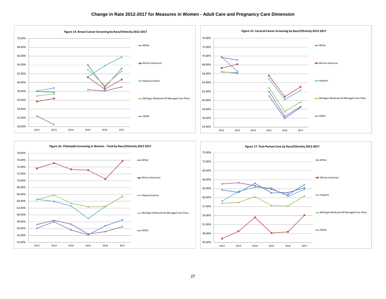





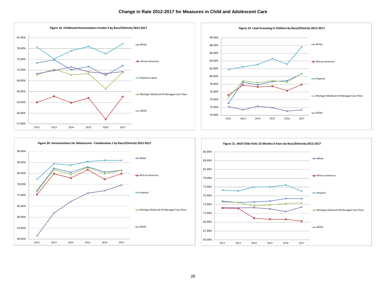





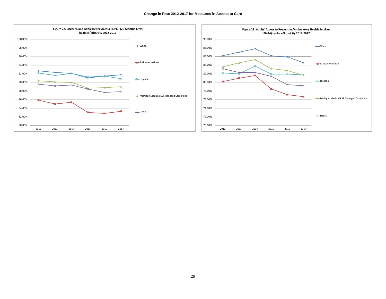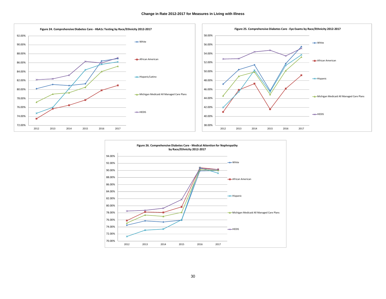

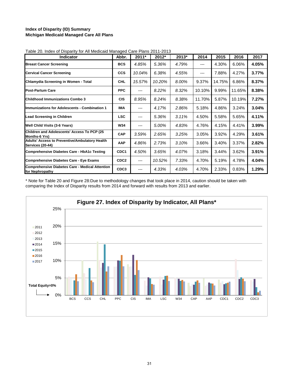### **Index of Disparity (ID) Summary Michigan Medicaid Managed Care All Plans**

| <b>Indicator</b>                                                          | Abbr.            | $2011*$ | 2012*  | 2013* | 2014   | 2015   | 2016   | 2017  |
|---------------------------------------------------------------------------|------------------|---------|--------|-------|--------|--------|--------|-------|
| <b>Breast Cancer Screening</b>                                            | <b>BCS</b>       | 4.85%   | 5.36%  | 4.79% | ---    | 4.30%  | 6.06%  | 4.05% |
| <b>Cervical Cancer Screening</b>                                          | <b>CCS</b>       | 10.04%  | 6.38%  | 4.55% | ---    | 7.88%  | 4.27%  | 3.77% |
| Chlamydia Screening in Women - Total                                      | <b>CHL</b>       | 15.57%  | 10.20% | 8.00% | 9.37%  | 14.75% | 6.86%  | 8.37% |
| <b>Post-Partum Care</b>                                                   | <b>PPC</b>       | ---     | 8.22%  | 8.32% | 10.10% | 9.99%  | 11.65% | 8.38% |
| <b>Childhood Immunizations Combo 3</b>                                    | <b>CIS</b>       | 8.95%   | 8.24%  | 8.38% | 11.70% | 5.87%  | 10.19% | 7.27% |
| <b>Immunizations for Adolescents - Combination 1</b>                      | <b>IMA</b>       | ---     | 4.17%  | 2.86% | 5.18%  | 4.86%  | 3.24%  | 3.04% |
| <b>Lead Screening in Children</b>                                         | <b>LSC</b>       | ---     | 5.36%  | 3.11% | 4.50%  | 5.58%  | 5.65%  | 4.11% |
| Well Child Visits (3-6 Years)                                             | <b>W34</b>       | ---     | 5.00%  | 4.83% | 4.76%  | 4.15%  | 4.41%  | 3.99% |
| Children and Adolescents' Access To PCP (25<br><b>Months-6 Yrs)</b>       | CAP              | 3.59%   | 2.65%  | 3.25% | 3.05%  | 3.92%  | 4.29%  | 3.61% |
| Adults' Access to Preventive/Ambulatory Health<br><b>Services (20-44)</b> | AAP              | 4.86%   | 2.73%  | 3.10% | 3.66%  | 3.40%  | 3.37%  | 2.82% |
| <b>Comprehensive Diabetes Care - HbA1c Testing</b>                        | CDC <sub>1</sub> | 4.50%   | 3.65%  | 4.07% | 3.18%  | 3.44%  | 3.62%  | 3.91% |
| <b>Comprehensive Diabetes Care - Eye Exams</b>                            | CDC <sub>2</sub> | ---     | 10.52% | 7.33% | 4.70%  | 5.19%  | 4.78%  | 4.04% |
| <b>Comprehensive Diabetes Care - Medical Attention</b><br>for Nephropathy | CDC3             | ---     | 4.33%  | 4.03% | 4.70%  | 2.33%  | 0.83%  | 1.29% |

Table 20. Index of Disparity for All Medicaid Managed Care Plans 2011-2013

\* Note for Table 20 and Figure 28:Due to methodology changes that took place in 2014, caution should be taken with comparing the Index of Disparity results from 2014 and forward with results from 2013 and earlier.

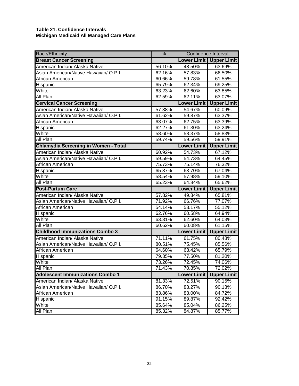## **Table 21. Confidence Intervals Michigan Medicaid All Managed Care Plans**

| Race/Ethnicity                              | $\frac{9}{6}$ | Confidence Interval |                           |
|---------------------------------------------|---------------|---------------------|---------------------------|
| <b>Breast Cancer Screening</b>              |               |                     | Lower Limit   Upper Limit |
| American Indian/ Alaska Native              | 56.10%        | 48.50%              | 63.69%                    |
| Asian American/Native Hawaiian/ O.P.I.      | 62.16%        | 57.83%              | 66.50%                    |
| African American                            | 60.66%        | 59.78%              | 61.55%                    |
| Hispanic                                    | 65.79%        | 62.34%              | 69.25%                    |
| White                                       | 63.23%        | 62.60%              | 63.85%                    |
| All Plan                                    | 62.59%        | 62.11%              | 63.07%                    |
| <b>Cervical Cancer Screening</b>            |               | <b>Lower Limit</b>  | <b>Upper Limit</b>        |
| American Indian/ Alaska Native              | 57.38%        | 54.67%              | 60.09%                    |
| Asian American/Native Hawaiian/ O.P.I.      | 61.62%        | 59.87%              | 63.37%                    |
| African American                            | 63.07%        | 62.75%              | 63.39%                    |
| Hispanic                                    | 62.27%        | 61.30%              | 63.24%                    |
| White                                       | 58.60%        | 58.37%              | 58.83%                    |
| All Plan                                    | 59.74%        | 59.56%              | 59.91%                    |
| <b>Chlamydia Screening in Women - Total</b> |               | <b>Lower Limit</b>  | <b>Upper Limit</b>        |
| American Indian/ Alaska Native              | 60.92%        | 54.73%              | 67.12%                    |
| Asian American/Native Hawaiian/ O.P.I.      | 59.59%        | 54.73%              | 64.45%                    |
| African American                            | 75.73%        | 75.14%              | 76.32%                    |
| Hispanic                                    | 65.37%        | 63.70%              | 67.04%                    |
| White                                       | 58.54%        | 57.98%              | 59.10%                    |
| All Plan                                    | 65.23%        | 64.84%              | 65.62%                    |
| <b>Post-Partum Care</b>                     |               | <b>Lower Limit</b>  | <b>Upper Limit</b>        |
| American Indian/ Alaska Native              | 57.82%        | 49.84%              | 65.81%                    |
| Asian American/Native Hawaiian/ O.P.I.      | 71.92%        | 66.76%              | 77.07%                    |
| African American                            | 54.14%        | 53.17%              | 55.12%                    |
| Hispanic                                    | 62.76%        | 60.58%              | 64.94%                    |
| White                                       | 63.31%        | 62.60%              | 64.03%                    |
| All Plan                                    | 60.62%        | 60.08%              | 61.15%                    |
| <b>Childhood Immunizations Combo 3</b>      |               | <b>Lower Limit</b>  | <b>Upper Limit</b>        |
| American Indian/ Alaska Native              | 71.11%        | 61.75%              | 80.48%                    |
| Asian American/Native Hawaiian/ O.P.I.      | 80.51%        | 75.45%              | 85.56%                    |
| African American                            | 64.60%        | 63.42%              | 65.79%                    |
| Hispanic                                    | 79.35%        | 77.50%              | 81.20%                    |
| White                                       | 73.26%        | 72.45%              | 74.06%                    |
| All Plan                                    | 71.43%        | 70.85%              | 72.02%                    |
| <b>Adolescent Immunizations Combo 1</b>     |               | <b>Lower Limit</b>  | <b>Upper Limit</b>        |
| American Indian/ Alaska Native              | 81.33%        | 72.51%              | 90.15%                    |
| Asian American/Native Hawaiian/ O.P.I.      | 86.70%        | 83.27%              | 90.13%                    |
| African American                            | 83.86%        | 83.00%              | 84.72%                    |
| Hispanic                                    | 91.15%        | 89.87%              | 92.42%                    |
| White                                       | 85.64%        | 85.04%              | 86.25%                    |
| All Plan                                    | 85.32%        | 84.87%              | 85.77%                    |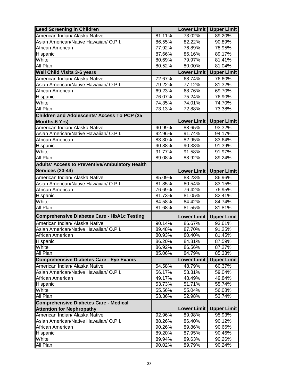| <b>Lead Screening in Children</b>                     |        | <b>Lower Limit</b> | <b>Upper Limit</b> |
|-------------------------------------------------------|--------|--------------------|--------------------|
| American Indian/ Alaska Native                        | 81.11% | 73.02%             | 89.20%             |
| Asian American/Native Hawaiian/ O.P.I.                | 86.55% | 82.22%             | 90.89%             |
| African American                                      | 77.92% | 76.89%             | 78.95%             |
| Hispanic                                              | 87.66% | 86.16%             | 89.17%             |
| White                                                 | 80.69% | 79.97%             | 81.41%             |
| All Plan                                              | 80.52% | 80.00%             | 81.04%             |
| <b>Well Child Visits 3-6 years</b>                    |        | <b>Lower Limit</b> | <b>Upper Limit</b> |
| American Indian/ Alaska Native                        | 72.67% | 68.74%             | 76.60%             |
| Asian American/Native Hawaiian/ O.P.I.                | 79.22% | 77.12%             | 81.32%             |
| African American                                      | 69.23% | 68.76%             | 69.70%             |
| Hispanic                                              | 76.07% | 75.24%             | 76.90%             |
| White                                                 | 74.35% | 74.01%             | 74.70%             |
| <b>All Plan</b>                                       | 73.13% | 72.88%             | 73.38%             |
| Children and Adolescents' Access To PCP (25           |        |                    |                    |
| <b>Months-6 Yrs)</b>                                  |        | Lower Limit        | <b>Upper Limit</b> |
| American Indian/ Alaska Native                        | 90.99% | 88.65%             | 93.32%             |
| Asian American/Native Hawaiian/ O.P.I.                | 92.96% | 91.74%             | 94.17%             |
| African American                                      | 83.30% | 82.95%             | 83.64%             |
| Hispanic                                              | 90.88% | 90.38%             | 91.39%             |
| White                                                 | 91.77% | 91.58%             | 91.97%             |
| All Plan                                              | 89.08% | 88.92%             | 89.24%             |
| <b>Adults' Access to Preventive/Ambulatory Health</b> |        |                    |                    |
| <b>Services (20-44)</b>                               |        | Lower Limit        | <b>Upper Limit</b> |
| American Indian/ Alaska Native                        | 85.09% | 83.23%             | 86.96%             |
| Asian American/Native Hawaiian/ O.P.I.                | 81.85% | 80.54%             | 83.15%             |
| African American                                      | 76.69% | 76.42%             | 76.95%             |
| Hispanic                                              | 81.73% | 81.05%             | 82.41%             |
| White                                                 | 84.58% | 84.42%             | 84.74%             |
| All Plan                                              | 81.68% | 81.55%             | 81.81%             |
| <b>Comprehensive Diabetes Care - HbA1c Testing</b>    |        | Lower Limit        | <b>Upper Limit</b> |
| American Indian/ Alaska Native                        | 90.14% | 86.67%             | 93.61%             |
| Asian American/Native Hawaiian/ O.P.I.                | 89.48% | 87.70%             | 91.25%             |
| African American                                      | 80.93% | 80.40%             | 81.45%             |
| Hispanic                                              | 86.20% | 84.81%             | 87.59%             |
| White                                                 | 86.92% | 86.56%             | 87.27%             |
| All Plan                                              | 85.06% | 84.79%             | 85.33%             |
| <b>Comprehensive Diabetes Care - Eye Exams</b>        |        | <b>Lower Limit</b> | <b>Upper Limit</b> |
| American Indian/ Alaska Native                        | 54.58% | 48.79%             | 60.37%             |
| Asian American/Native Hawaiian/ O.P.I.                | 56.17% | 53.31%             | 59.04%             |
| African American                                      | 49.17% | 48.49%             | 49.84%             |
| Hispanic                                              | 53.73% | 51.71%             | 55.74%             |
| White                                                 | 55.56% | 55.04%             | 56.08%             |
| All Plan                                              | 53.36% | 52.98%             | 53.74%             |
| <b>Comprehensive Diabetes Care - Medical</b>          |        |                    |                    |
| <b>Attention for Nephropathy</b>                      |        | <b>Lower Limit</b> | <b>Upper Limit</b> |
| American Indian/ Alaska Native                        | 92.96% | 89.98%             | 95.93%             |
| Asian American/Native Hawaiian/ O.P.I.                | 88.26% | 86.40%             | 90.12%             |
| African American                                      | 90.26% | 89.86%             | 90.66%             |
| Hispanic                                              | 89.20% | 87.95%             | 90.46%             |
| White                                                 | 89.94% | 89.63%             | 90.26%             |
| All Plan                                              | 90.02% | 89.79%             | 90.24%             |